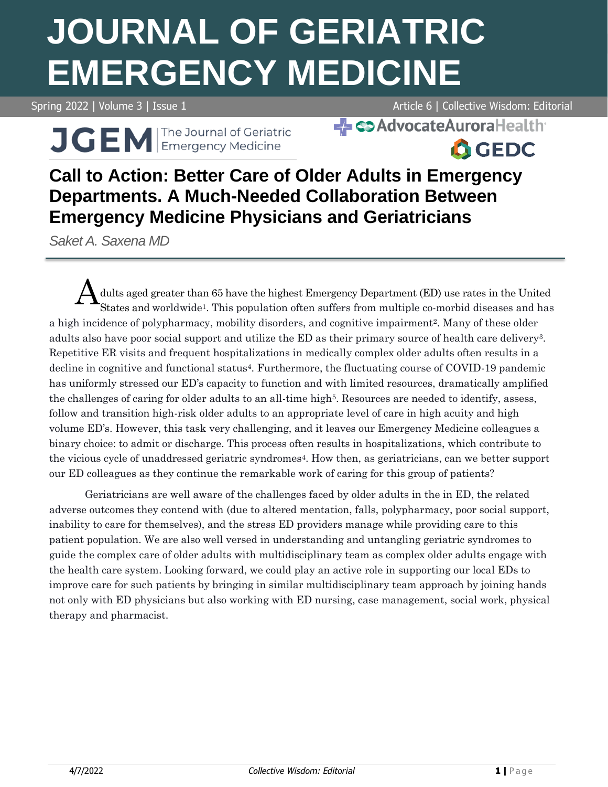# **JOURNAL OF GERIATRIC EMERGENCY MEDICINE**

Spring 2022 | Volume 3 | Issue 1 Article 6 | Collective Wisdom: Editorial

**- Co** Advocate Aurora Health

J GEM Fre Journal of Geriatric

**A**GEDC

# **Call to Action: Better Care of Older Adults in Emergency Departments. A Much-Needed Collaboration Between Emergency Medicine Physicians and Geriatricians**

*Saket A. Saxena MD*

dults aged greater than 65 have the highest Emergency Department (ED) use rates in the United States and worldwide<sup>1</sup>. This population often suffers from multiple co-morbid diseases and has a high incidence of polypharmacy, mobility disorders, and cognitive impairment2. Many of these older adults also have poor social support and utilize the ED as their primary source of health care delivery3. Repetitive ER visits and frequent hospitalizations in medically complex older adults often results in a decline in cognitive and functional status4. Furthermore, the fluctuating course of COVID-19 pandemic has uniformly stressed our ED's capacity to function and with limited resources, dramatically amplified the challenges of caring for older adults to an all-time high<sup>5</sup>. Resources are needed to identify, assess, follow and transition high-risk older adults to an appropriate level of care in high acuity and high volume ED's. However, this task very challenging, and it leaves our Emergency Medicine colleagues a binary choice: to admit or discharge. This process often results in hospitalizations, which contribute to the vicious cycle of unaddressed geriatric syndromes4. How then, as geriatricians, can we better support our ED colleagues as they continue the remarkable work of caring for this group of patients? A

Geriatricians are well aware of the challenges faced by older adults in the in ED, the related adverse outcomes they contend with (due to altered mentation, falls, polypharmacy, poor social support, inability to care for themselves), and the stress ED providers manage while providing care to this patient population. We are also well versed in understanding and untangling geriatric syndromes to guide the complex care of older adults with multidisciplinary team as complex older adults engage with the health care system. Looking forward, we could play an active role in supporting our local EDs to improve care for such patients by bringing in similar multidisciplinary team approach by joining hands not only with ED physicians but also working with ED nursing, case management, social work, physical therapy and pharmacist.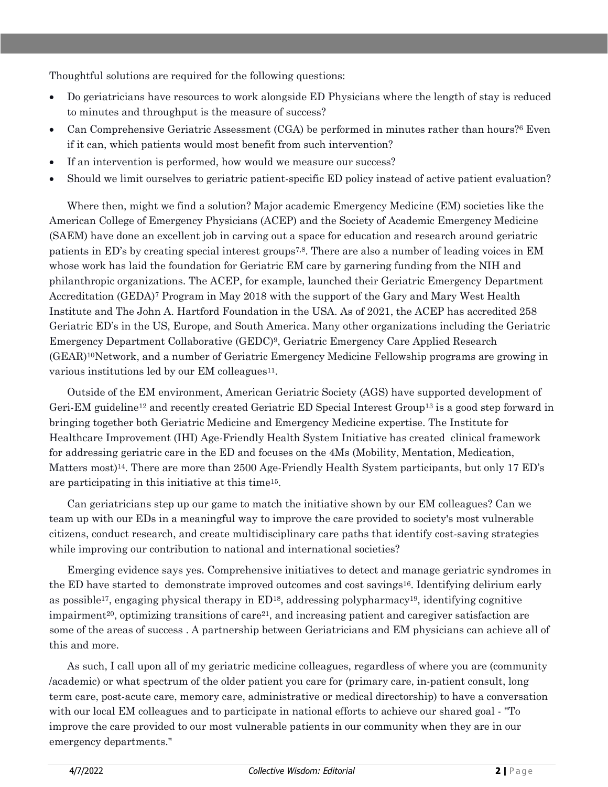Thoughtful solutions are required for the following questions:

- Do geriatricians have resources to work alongside ED Physicians where the length of stay is reduced to minutes and throughput is the measure of success?
- Can Comprehensive Geriatric Assessment (CGA) be performed in minutes rather than hours?<sup>6</sup> Even if it can, which patients would most benefit from such intervention?
- If an intervention is performed, how would we measure our success?
- Should we limit ourselves to geriatric patient-specific ED policy instead of active patient evaluation?

Where then, might we find a solution? Major academic Emergency Medicine (EM) societies like the American College of Emergency Physicians (ACEP) and the Society of Academic Emergency Medicine (SAEM) have done an excellent job in carving out a space for education and research around geriatric patients in ED's by creating special interest groups7,8. There are also a number of leading voices in EM whose work has laid the foundation for Geriatric EM care by garnering funding from the NIH and philanthropic organizations. The ACEP, for example, launched their Geriatric Emergency Department Accreditation (GEDA)<sup>7</sup> Program in May 2018 with the support of the Gary and Mary West Health Institute and The John A. Hartford Foundation in the USA. As of 2021, the ACEP has accredited 258 Geriatric ED's in the US, Europe, and South America. Many other organizations including the Geriatric Emergency Department Collaborative (GEDC)9, Geriatric Emergency Care Applied Research (GEAR)10Network, and a number of Geriatric Emergency Medicine Fellowship programs are growing in various institutions led by our EM colleagues<sup>11</sup>.

Outside of the EM environment, American Geriatric Society (AGS) have supported development of Geri-EM guideline<sup>12</sup> and recently created Geriatric ED Special Interest Group<sup>13</sup> is a good step forward in bringing together both Geriatric Medicine and Emergency Medicine expertise. The Institute for Healthcare Improvement (IHI) Age-Friendly Health System Initiative has created clinical framework for addressing geriatric care in the ED and focuses on the 4Ms (Mobility, Mentation, Medication, Matters most)<sup>14</sup>. There are more than 2500 Age-Friendly Health System participants, but only 17 ED's are participating in this initiative at this time15.

Can geriatricians step up our game to match the initiative shown by our EM colleagues? Can we team up with our EDs in a meaningful way to improve the care provided to society's most vulnerable citizens, conduct research, and create multidisciplinary care paths that identify cost-saving strategies while improving our contribution to national and international societies?

Emerging evidence says yes. Comprehensive initiatives to detect and manage geriatric syndromes in the ED have started to demonstrate improved outcomes and cost savings<sup>16</sup>. Identifying delirium early as possible<sup>17</sup>, engaging physical therapy in  $ED^{18}$ , addressing polypharmacy<sup>19</sup>, identifying cognitive impairment<sup>20</sup>, optimizing transitions of care<sup>21</sup>, and increasing patient and caregiver satisfaction are some of the areas of success . A partnership between Geriatricians and EM physicians can achieve all of this and more.

As such, I call upon all of my geriatric medicine colleagues, regardless of where you are (community /academic) or what spectrum of the older patient you care for (primary care, in-patient consult, long term care, post-acute care, memory care, administrative or medical directorship) to have a conversation with our local EM colleagues and to participate in national efforts to achieve our shared goal - "To improve the care provided to our most vulnerable patients in our community when they are in our emergency departments."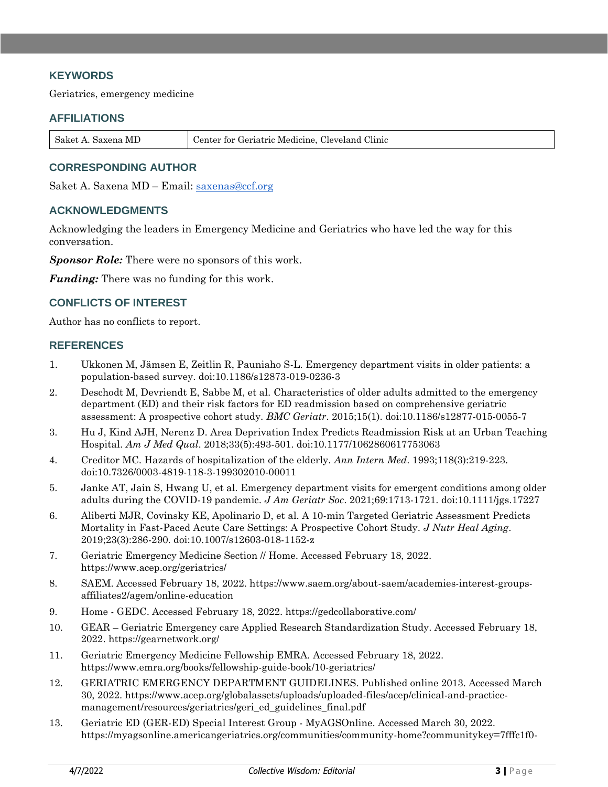# **KEYWORDS**

Geriatrics, emergency medicine

#### **AFFILIATIONS**

| Saket A. Saxena MD | Center for Geriatric Medicine, Cleveland Clinic |
|--------------------|-------------------------------------------------|
|--------------------|-------------------------------------------------|

# **CORRESPONDING AUTHOR**

Saket A. Saxena MD – Email: [saxenas@ccf.org](mailto:saxenas@ccf.org)

## **ACKNOWLEDGMENTS**

Acknowledging the leaders in Emergency Medicine and Geriatrics who have led the way for this conversation.

*Sponsor Role:* There were no sponsors of this work.

*Funding:* There was no funding for this work.

## **CONFLICTS OF INTEREST**

Author has no conflicts to report.

## **REFERENCES**

- 1. Ukkonen M, Jämsen E, Zeitlin R, Pauniaho S-L. Emergency department visits in older patients: a population-based survey. doi:10.1186/s12873-019-0236-3
- 2. Deschodt M, Devriendt E, Sabbe M, et al. Characteristics of older adults admitted to the emergency department (ED) and their risk factors for ED readmission based on comprehensive geriatric assessment: A prospective cohort study. *BMC Geriatr*. 2015;15(1). doi:10.1186/s12877-015-0055-7
- 3. Hu J, Kind AJH, Nerenz D. Area Deprivation Index Predicts Readmission Risk at an Urban Teaching Hospital. *Am J Med Qual*. 2018;33(5):493-501. doi:10.1177/1062860617753063
- 4. Creditor MC. Hazards of hospitalization of the elderly. *Ann Intern Med*. 1993;118(3):219-223. doi:10.7326/0003-4819-118-3-199302010-00011
- 5. Janke AT, Jain S, Hwang U, et al. Emergency department visits for emergent conditions among older adults during the COVID-19 pandemic. *J Am Geriatr Soc*. 2021;69:1713-1721. doi:10.1111/jgs.17227
- 6. Aliberti MJR, Covinsky KE, Apolinario D, et al. A 10-min Targeted Geriatric Assessment Predicts Mortality in Fast-Paced Acute Care Settings: A Prospective Cohort Study. *J Nutr Heal Aging*. 2019;23(3):286-290. doi:10.1007/s12603-018-1152-z
- 7. Geriatric Emergency Medicine Section // Home. Accessed February 18, 2022. https://www.acep.org/geriatrics/
- 8. SAEM. Accessed February 18, 2022. https://www.saem.org/about-saem/academies-interest-groupsaffiliates2/agem/online-education
- 9. Home GEDC. Accessed February 18, 2022. https://gedcollaborative.com/
- 10. GEAR Geriatric Emergency care Applied Research Standardization Study. Accessed February 18, 2022. https://gearnetwork.org/
- 11. Geriatric Emergency Medicine Fellowship EMRA. Accessed February 18, 2022. https://www.emra.org/books/fellowship-guide-book/10-geriatrics/
- 12. GERIATRIC EMERGENCY DEPARTMENT GUIDELINES. Published online 2013. Accessed March 30, 2022. https://www.acep.org/globalassets/uploads/uploaded-files/acep/clinical-and-practicemanagement/resources/geriatrics/geri\_ed\_guidelines\_final.pdf
- 13. Geriatric ED (GER-ED) Special Interest Group MyAGSOnline. Accessed March 30, 2022. https://myagsonline.americangeriatrics.org/communities/community-home?communitykey=7fffc1f0-